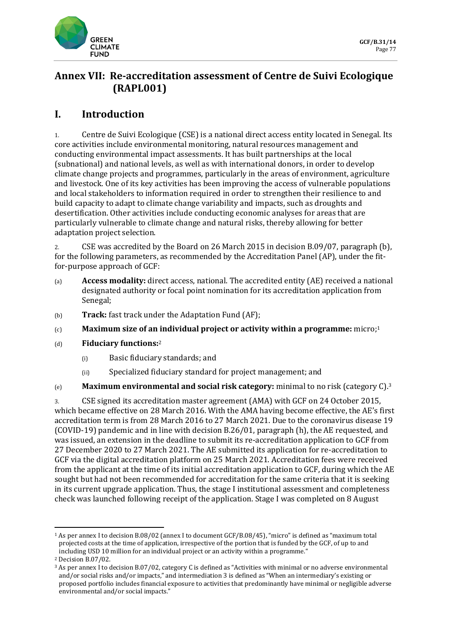

# **Annex VII: Re-accreditation assessment of Centre de Suivi Ecologique (RAPL001)**

## **I. Introduction**

1. Centre de Suivi Ecologique (CSE) is a national direct access entity located in Senegal. Its core activities include environmental monitoring, natural resources management and conducting environmental impact assessments. It has built partnerships at the local (subnational) and national levels, as well as with international donors, in order to develop climate change projects and programmes, particularly in the areas of environment, agriculture and livestock. One of its key activities has been improving the access of vulnerable populations and local stakeholders to information required in order to strengthen their resilience to and build capacity to adapt to climate change variability and impacts, such as droughts and desertification. Other activities include conducting economic analyses for areas that are particularly vulnerable to climate change and natural risks, thereby allowing for better adaptation project selection.

2. CSE was accredited by the Board on 26 March 2015 in decision B.09/07, paragraph (b), for the following parameters, as recommended by the Accreditation Panel (AP), under the fitfor-purpose approach of GCF:

- (a) **Access modality:** direct access, national. The accredited entity (AE) received a national designated authority or focal point nomination for its accreditation application from Senegal;
- (b) **Track:** fast track under the Adaptation Fund (AF);
- (c) **Maximum size of an individual project or activity within a programme:** micro;<sup>1</sup>
- (d) **Fiduciary functions:**<sup>2</sup>
	- (i) Basic fiduciary standards; and
	- (ii) Specialized fiduciary standard for project management; and
- (e) **Maximum environmental and social risk category:** minimal to no risk (category C).<sup>3</sup>

3. CSE signed its accreditation master agreement (AMA) with GCF on 24 October 2015, which became effective on 28 March 2016. With the AMA having become effective, the AE's first accreditation term is from 28 March 2016 to 27 March 2021. Due to the coronavirus disease 19 (COVID-19) pandemic and in line with decision B.26/01, paragraph (h), the AE requested, and was issued, an extension in the deadline to submit its re-accreditation application to GCF from 27 December 2020 to 27 March 2021. The AE submitted its application for re-accreditation to GCF via the digital accreditation platform on 25 March 2021. Accreditation fees were received from the applicant at the time of its initial accreditation application to GCF, during which the AE sought but had not been recommended for accreditation for the same criteria that it is seeking in its current upgrade application. Thus, the stage I institutional assessment and completeness check was launched following receipt of the application. Stage I was completed on 8 August

<sup>1</sup> As per annex I to decision B.08/02 (annex I to document GCF/B.08/45), "micro" is defined as "maximum total projected costs at the time of application, irrespective of the portion that is funded by the GCF, of up to and including USD 10 million for an individual project or an activity within a programme."

<sup>2</sup> Decision B.07/02.

<sup>3</sup> As per annex I to decision B.07/02, category C is defined as "Activities with minimal or no adverse environmental and/or social risks and/or impacts," and intermediation 3 is defined as "When an intermediary's existing or proposed portfolio includes financial exposure to activities that predominantly have minimal or negligible adverse environmental and/or social impacts."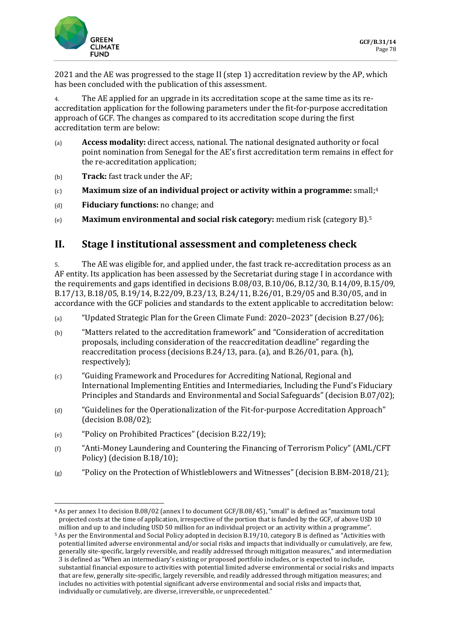2021 and the AE was progressed to the stage II (step 1) accreditation review by the AP, which has been concluded with the publication of this assessment.

4. The AE applied for an upgrade in its accreditation scope at the same time as its reaccreditation application for the following parameters under the fit-for-purpose accreditation approach of GCF. The changes as compared to its accreditation scope during the first accreditation term are below:

- (a) **Access modality:** direct access, national. The national designated authority or focal point nomination from Senegal for the AE's first accreditation term remains in effect for the re-accreditation application;
- (b) **Track:** fast track under the AF;
- (c) **Maximum size of an individual project or activity within a programme:** small;<sup>4</sup>
- (d) **Fiduciary functions:** no change; and
- (e) **Maximum environmental and social risk category:** medium risk (category B).<sup>5</sup>

## **II. Stage I institutional assessment and completeness check**

5. The AE was eligible for, and applied under, the fast track re-accreditation process as an AF entity. Its application has been assessed by the Secretariat during stage I in accordance with the requirements and gaps identified in decisions B.08/03, B.10/06, B.12/30, B.14/09, B.15/09, B.17/13, B.18/05, B.19/14, B.22/09, B.23/13, B.24/11, B.26/01, B.29/05 and B.30/05, and in accordance with the GCF policies and standards to the extent applicable to accreditation below:

- (a) "Updated Strategic Plan for the Green Climate Fund: 2020–2023" (decision B.27/06);
- (b) "Matters related to the accreditation framework" and "Consideration of accreditation proposals, including consideration of the reaccreditation deadline" regarding the reaccreditation process (decisions B.24/13, para. (a), and B.26/01, para. (h), respectively);
- (c) "Guiding Framework and Procedures for Accrediting National, Regional and International Implementing Entities and Intermediaries, Including the Fund's Fiduciary Principles and Standards and Environmental and Social Safeguards" (decision B.07/02);
- (d) "Guidelines for the Operationalization of the Fit-for-purpose Accreditation Approach" (decision B.08/02);
- (e) "Policy on Prohibited Practices" (decision B.22/19);
- (f) "Anti-Money Laundering and Countering the Financing of Terrorism Policy" (AML/CFT Policy) (decision B.18/10);
- (g) "Policy on the Protection of Whistleblowers and Witnesses" (decision B.BM-2018/21);

<sup>4</sup> As per annex I to decision B.08/02 (annex I to document GCF/B.08/45), "small" is defined as "maximum total projected costs at the time of application, irrespective of the portion that is funded by the GCF, of above USD 10 million and up to and including USD 50 million for an individual project or an activity within a programme".

<sup>5</sup> As per the Environmental and Social Policy adopted in decision B.19/10, category B is defined as "Activities with potential limited adverse environmental and/or social risks and impacts that individually or cumulatively, are few, generally site-specific, largely reversible, and readily addressed through mitigation measures," and intermediation 3 is defined as "When an intermediary's existing or proposed portfolio includes, or is expected to include, substantial financial exposure to activities with potential limited adverse environmental or social risks and impacts that are few, generally site-specific, largely reversible, and readily addressed through mitigation measures; and includes no activities with potential significant adverse environmental and social risks and impacts that, individually or cumulatively, are diverse, irreversible, or unprecedented."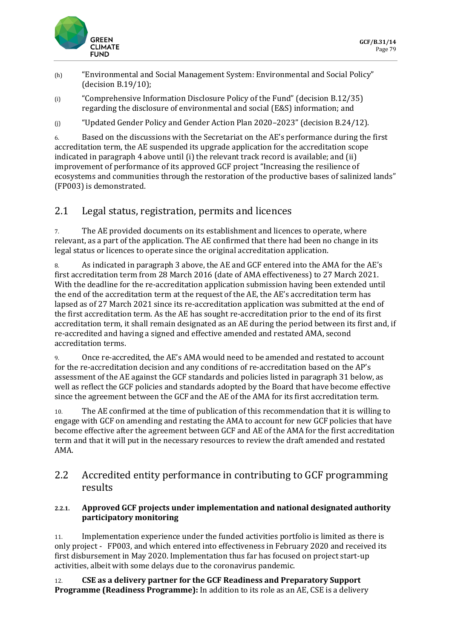

- (h) "Environmental and Social Management System: Environmental and Social Policy" (decision B.19/10);
- (i) "Comprehensive Information Disclosure Policy of the Fund" (decision B.12/35) regarding the disclosure of environmental and social (E&S) information; and
- (j) "Updated Gender Policy and Gender Action Plan 2020–2023" (decision B.24/12).

6. Based on the discussions with the Secretariat on the AE's performance during the first accreditation term, the AE suspended its upgrade application for the accreditation scope indicated in paragraph 4 above until (i) the relevant track record is available; and (ii) improvement of performance of its approved GCF project "Increasing the resilience of ecosystems and communities through the restoration of the productive bases of salinized lands" (FP003) is demonstrated.

# 2.1 Legal status, registration, permits and licences

7. The AE provided documents on its establishment and licences to operate, where relevant, as a part of the application. The AE confirmed that there had been no change in its legal status or licences to operate since the original accreditation application.

8. As indicated in paragraph 3 above, the AE and GCF entered into the AMA for the AE's first accreditation term from 28 March 2016 (date of AMA effectiveness) to 27 March 2021. With the deadline for the re-accreditation application submission having been extended until the end of the accreditation term at the request of the AE, the AE's accreditation term has lapsed as of 27 March 2021 since its re-accreditation application was submitted at the end of the first accreditation term. As the AE has sought re-accreditation prior to the end of its first accreditation term, it shall remain designated as an AE during the period between its first and, if re-accredited and having a signed and effective amended and restated AMA, second accreditation terms.

9. Once re-accredited, the AE's AMA would need to be amended and restated to account for the re-accreditation decision and any conditions of re-accreditation based on the AP's assessment of the AE against the GCF standards and policies listed in paragraph 31 below, as well as reflect the GCF policies and standards adopted by the Board that have become effective since the agreement between the GCF and the AE of the AMA for its first accreditation term.

10. The AE confirmed at the time of publication of this recommendation that it is willing to engage with GCF on amending and restating the AMA to account for new GCF policies that have become effective after the agreement between GCF and AE of the AMA for the first accreditation term and that it will put in the necessary resources to review the draft amended and restated AMA.

## 2.2 Accredited entity performance in contributing to GCF programming results

### **2.2.1. Approved GCF projects under implementation and national designated authority participatory monitoring**

11. Implementation experience under the funded activities portfolio is limited as there is only project - FP003, and which entered into effectiveness in February 2020 and received its first disbursement in May 2020. Implementation thus far has focused on project start-up activities, albeit with some delays due to the coronavirus pandemic.

12. **CSE as a delivery partner for the GCF Readiness and Preparatory Support Programme (Readiness Programme):** In addition to its role as an AE, CSE is a delivery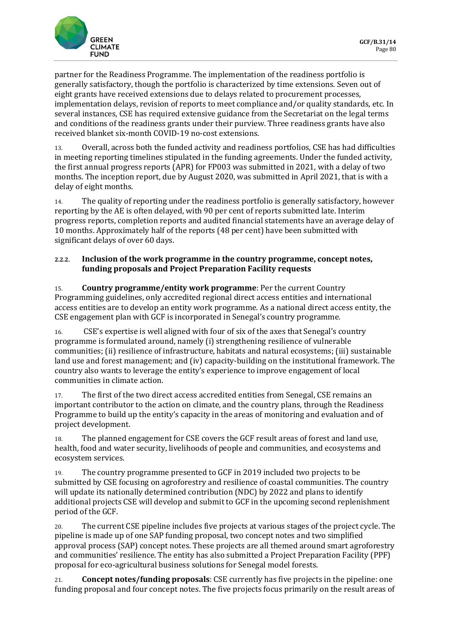

partner for the Readiness Programme. The implementation of the readiness portfolio is generally satisfactory, though the portfolio is characterized by time extensions. Seven out of eight grants have received extensions due to delays related to procurement processes, implementation delays, revision of reports to meet compliance and/or quality standards, etc. In several instances, CSE has required extensive guidance from the Secretariat on the legal terms and conditions of the readiness grants under their purview. Three readiness grants have also received blanket six-month COVID-19 no-cost extensions.

13. Overall, across both the funded activity and readiness portfolios, CSE has had difficulties in meeting reporting timelines stipulated in the funding agreements. Under the funded activity, the first annual progress reports (APR) for FP003 was submitted in 2021, with a delay of two months. The inception report, due by August 2020, was submitted in April 2021, that is with a delay of eight months.

14. The quality of reporting under the readiness portfolio is generally satisfactory, however reporting by the AE is often delayed, with 90 per cent of reports submitted late. Interim progress reports, completion reports and audited financial statements have an average delay of 10 months. Approximately half of the reports (48 per cent) have been submitted with significant delays of over 60 days.

### **2.2.2. Inclusion of the work programme in the country programme, concept notes, funding proposals and Project Preparation Facility requests**

15. **Country programme/entity work programme**: Per the current Country Programming guidelines, only accredited regional direct access entities and international access entities are to develop an entity work programme. As a national direct access entity, the CSE engagement plan with GCF is incorporated in Senegal's country programme.

16. CSE's expertise is well aligned with four of six of the axes that Senegal's country programme is formulated around, namely (i) strengthening resilience of vulnerable communities; (ii) resilience of infrastructure, habitats and natural ecosystems; (iii) sustainable land use and forest management; and (iv) capacity-building on the institutional framework. The country also wants to leverage the entity's experience to improve engagement of local communities in climate action.

17. The first of the two direct access accredited entities from Senegal, CSE remains an important contributor to the action on climate, and the country plans, through the Readiness Programme to build up the entity's capacity in the areas of monitoring and evaluation and of project development.

18. The planned engagement for CSE covers the GCF result areas of forest and land use, health, food and water security, livelihoods of people and communities, and ecosystems and ecosystem services.

19. The country programme presented to GCF in 2019 included two projects to be submitted by CSE focusing on agroforestry and resilience of coastal communities. The country will update its nationally determined contribution (NDC) by 2022 and plans to identify additional projects CSE will develop and submit to GCF in the upcoming second replenishment period of the GCF.

20. The current CSE pipeline includes five projects at various stages of the project cycle. The pipeline is made up of one SAP funding proposal, two concept notes and two simplified approval process (SAP) concept notes. These projects are all themed around smart agroforestry and communities' resilience. The entity has also submitted a Project Preparation Facility (PPF) proposal for eco-agricultural business solutions for Senegal model forests.

21. **Concept notes/funding proposals**: CSE currently has five projects in the pipeline: one funding proposal and four concept notes. The five projects focus primarily on the result areas of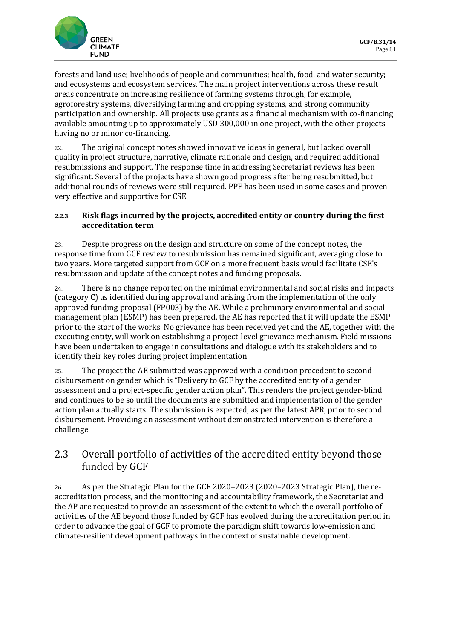

forests and land use; livelihoods of people and communities; health, food, and water security; and ecosystems and ecosystem services. The main project interventions across these result areas concentrate on increasing resilience of farming systems through, for example, agroforestry systems, diversifying farming and cropping systems, and strong community participation and ownership. All projects use grants as a financial mechanism with co-financing available amounting up to approximately USD 300,000 in one project, with the other projects having no or minor co-financing.

22. The original concept notes showed innovative ideas in general, but lacked overall quality in project structure, narrative, climate rationale and design, and required additional resubmissions and support. The response time in addressing Secretariat reviews has been significant. Several of the projects have shown good progress after being resubmitted, but additional rounds of reviews were still required. PPF has been used in some cases and proven very effective and supportive for CSE.

### **2.2.3. Risk flags incurred by the projects, accredited entity or country during the first accreditation term**

23. Despite progress on the design and structure on some of the concept notes, the response time from GCF review to resubmission has remained significant, averaging close to two years. More targeted support from GCF on a more frequent basis would facilitate CSE's resubmission and update of the concept notes and funding proposals.

24. There is no change reported on the minimal environmental and social risks and impacts (category C) as identified during approval and arising from the implementation of the only approved funding proposal (FP003) by the AE. While a preliminary environmental and social management plan (ESMP) has been prepared, the AE has reported that it will update the ESMP prior to the start of the works. No grievance has been received yet and the AE, together with the executing entity, will work on establishing a project-level grievance mechanism. Field missions have been undertaken to engage in consultations and dialogue with its stakeholders and to identify their key roles during project implementation.

25. The project the AE submitted was approved with a condition precedent to second disbursement on gender which is "Delivery to GCF by the accredited entity of a gender assessment and a project-specific gender action plan". This renders the project gender-blind and continues to be so until the documents are submitted and implementation of the gender action plan actually starts. The submission is expected, as per the latest APR, prior to second disbursement. Providing an assessment without demonstrated intervention is therefore a challenge.

# 2.3 Overall portfolio of activities of the accredited entity beyond those funded by GCF

26. As per the Strategic Plan for the GCF 2020–2023 (2020–2023 Strategic Plan), the reaccreditation process, and the monitoring and accountability framework, the Secretariat and the AP are requested to provide an assessment of the extent to which the overall portfolio of activities of the AE beyond those funded by GCF has evolved during the accreditation period in order to advance the goal of GCF to promote the paradigm shift towards low-emission and climate-resilient development pathways in the context of sustainable development.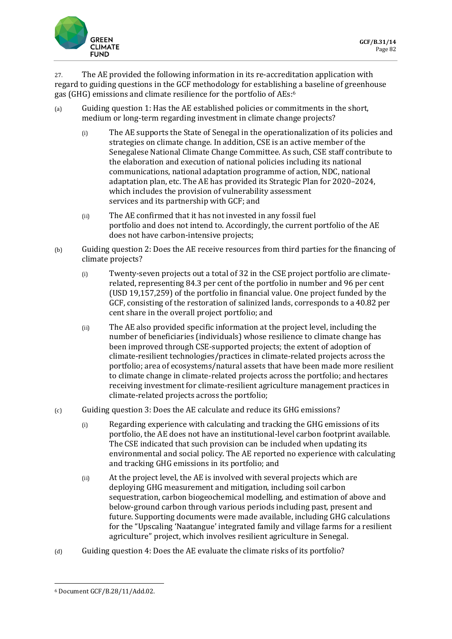

27. The AE provided the following information in its re-accreditation application with regard to guiding questions in the GCF methodology for establishing a baseline of greenhouse gas (GHG) emissions and climate resilience for the portfolio of AEs:<sup>6</sup>

- (a) Guiding question 1: Has the AE established policies or commitments in the short, medium or long-term regarding investment in climate change projects?
	- (i) The AE supports the State of Senegal in the operationalization of its policies and strategies on climate change. In addition, CSE is an active member of the Senegalese National Climate Change Committee. As such, CSE staff contribute to the elaboration and execution of national policies including its national communications, national adaptation programme of action, NDC, national adaptation plan, etc. The AE has provided its Strategic Plan for 2020–2024, which includes the provision of vulnerability assessment services and its partnership with GCF; and
	- (ii) The AE confirmed that it has not invested in any fossil fuel portfolio and does not intend to. Accordingly, the current portfolio of the AE does not have carbon-intensive projects;
- (b) Guiding question 2: Does the AE receive resources from third parties for the financing of climate projects?
	- (i) Twenty-seven projects out a total of 32 in the CSE project portfolio are climaterelated, representing 84.3 per cent of the portfolio in number and 96 per cent (USD 19,157,259) of the portfolio in financial value. One project funded by the GCF, consisting of the restoration of salinized lands, corresponds to a 40.82 per cent share in the overall project portfolio; and
	- (ii) The AE also provided specific information at the project level, including the number of beneficiaries (individuals) whose resilience to climate change has been improved through CSE-supported projects; the extent of adoption of climate-resilient technologies/practices in climate-related projects across the portfolio; area of ecosystems/natural assets that have been made more resilient to climate change in climate-related projects across the portfolio; and hectares receiving investment for climate-resilient agriculture management practices in climate-related projects across the portfolio;
- (c) Guiding question 3: Does the AE calculate and reduce its GHG emissions?
	- (i) Regarding experience with calculating and tracking the GHG emissions of its portfolio, the AE does not have an institutional-level carbon footprint available. The CSE indicated that such provision can be included when updating its environmental and social policy. The AE reported no experience with calculating and tracking GHG emissions in its portfolio; and
	- (ii) At the project level, the AE is involved with several projects which are deploying GHG measurement and mitigation, including soil carbon sequestration, carbon biogeochemical modelling, and estimation of above and below-ground carbon through various periods including past, present and future. Supporting documents were made available, including GHG calculations for the "Upscaling 'Naatangue' integrated family and village farms for a resilient agriculture" project, which involves resilient agriculture in Senegal.
- (d) Guiding question 4: Does the AE evaluate the climate risks of its portfolio?

<sup>6</sup> Document GCF/B.28/11/Add.02.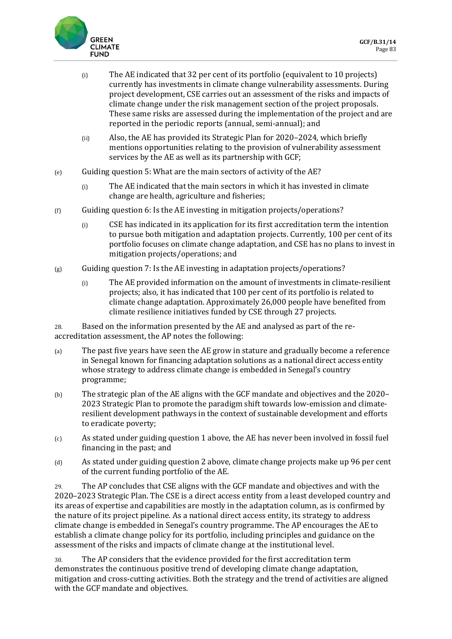

- (i) The AE indicated that 32 per cent of its portfolio (equivalent to 10 projects) currently has investments in climate change vulnerability assessments. During project development, CSE carries out an assessment of the risks and impacts of climate change under the risk management section of the project proposals. These same risks are assessed during the implementation of the project and are reported in the periodic reports (annual, semi-annual); and
- (ii) Also, the AE has provided its Strategic Plan for 2020–2024, which briefly mentions opportunities relating to the provision of vulnerability assessment services by the AE as well as its partnership with GCF;
- (e) Guiding question 5: What are the main sectors of activity of the AE?
	- (i) The AE indicated that the main sectors in which it has invested in climate change are health, agriculture and fisheries;
- (f) Guiding question 6: Is the AE investing in mitigation projects/operations?
	- (i) CSE has indicated in its application for its first accreditation term the intention to pursue both mitigation and adaptation projects. Currently, 100 per cent of its portfolio focuses on climate change adaptation, and CSE has no plans to invest in mitigation projects/operations; and
- $(g)$  Guiding question 7: Is the AE investing in adaptation projects/operations?
	- (i) The AE provided information on the amount of investments in climate-resilient projects; also, it has indicated that 100 per cent of its portfolio is related to climate change adaptation. Approximately 26,000 people have benefited from climate resilience initiatives funded by CSE through 27 projects.

28. Based on the information presented by the AE and analysed as part of the reaccreditation assessment, the AP notes the following:

- (a) The past five years have seen the AE grow in stature and gradually become a reference in Senegal known for financing adaptation solutions as a national direct access entity whose strategy to address climate change is embedded in Senegal's country programme;
- (b) The strategic plan of the AE aligns with the GCF mandate and objectives and the 2020– 2023 Strategic Plan to promote the paradigm shift towards low-emission and climateresilient development pathways in the context of sustainable development and efforts to eradicate poverty;
- (c) As stated under guiding question 1 above, the AE has never been involved in fossil fuel financing in the past; and
- (d) As stated under guiding question 2 above, climate change projects make up 96 per cent of the current funding portfolio of the AE.

29. The AP concludes that CSE aligns with the GCF mandate and objectives and with the 2020–2023 Strategic Plan. The CSE is a direct access entity from a least developed country and its areas of expertise and capabilities are mostly in the adaptation column, as is confirmed by the nature of its project pipeline. As a national direct access entity, its strategy to address climate change is embedded in Senegal's country programme. The AP encourages the AE to establish a climate change policy for its portfolio, including principles and guidance on the assessment of the risks and impacts of climate change at the institutional level.

30. The AP considers that the evidence provided for the first accreditation term demonstrates the continuous positive trend of developing climate change adaptation, mitigation and cross-cutting activities. Both the strategy and the trend of activities are aligned with the GCF mandate and objectives.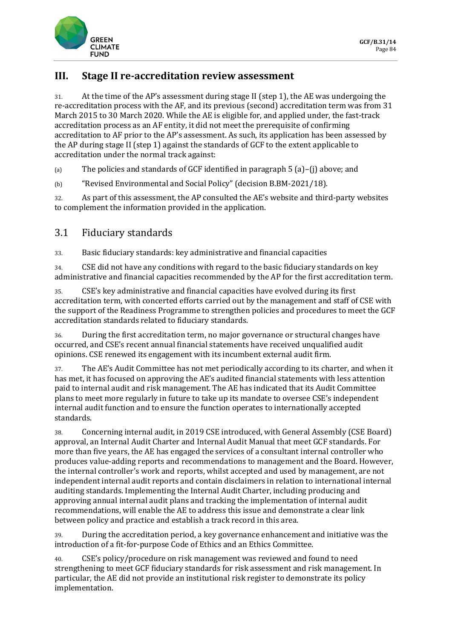

## **III. Stage II re-accreditation review assessment**

31. At the time of the AP's assessment during stage II (step 1), the AE was undergoing the re-accreditation process with the AF, and its previous (second) accreditation term was from 31 March 2015 to 30 March 2020. While the AE is eligible for, and applied under, the fast-track accreditation process as an AF entity, it did not meet the prerequisite of confirming accreditation to AF prior to the AP's assessment. As such, its application has been assessed by the AP during stage II (step 1) against the standards of GCF to the extent applicable to accreditation under the normal track against:

(a) The policies and standards of GCF identified in paragraph  $5$  (a)–(j) above; and

(b) "Revised Environmental and Social Policy" (decision B.BM-2021/18).

32. As part of this assessment, the AP consulted the AE's website and third-party websites to complement the information provided in the application.

## 3.1 Fiduciary standards

33. Basic fiduciary standards: key administrative and financial capacities

34. CSE did not have any conditions with regard to the basic fiduciary standards on key administrative and financial capacities recommended by the AP for the first accreditation term.

35. CSE's key administrative and financial capacities have evolved during its first accreditation term, with concerted efforts carried out by the management and staff of CSE with the support of the Readiness Programme to strengthen policies and procedures to meet the GCF accreditation standards related to fiduciary standards.

36. During the first accreditation term, no major governance or structural changes have occurred, and CSE's recent annual financial statements have received unqualified audit opinions. CSE renewed its engagement with its incumbent external audit firm.

37. The AE's Audit Committee has not met periodically according to its charter, and when it has met, it has focused on approving the AE's audited financial statements with less attention paid to internal audit and risk management. The AE has indicated that its Audit Committee plans to meet more regularly in future to take up its mandate to oversee CSE's independent internal audit function and to ensure the function operates to internationally accepted standards.

38. Concerning internal audit, in 2019 CSE introduced, with General Assembly (CSE Board) approval, an Internal Audit Charter and Internal Audit Manual that meet GCF standards. For more than five years, the AE has engaged the services of a consultant internal controller who produces value-adding reports and recommendations to management and the Board. However, the internal controller's work and reports, whilst accepted and used by management, are not independent internal audit reports and contain disclaimers in relation to international internal auditing standards. Implementing the Internal Audit Charter, including producing and approving annual internal audit plans and tracking the implementation of internal audit recommendations, will enable the AE to address this issue and demonstrate a clear link between policy and practice and establish a track record in this area.

39. During the accreditation period, a key governance enhancement and initiative was the introduction of a fit-for-purpose Code of Ethics and an Ethics Committee.

40. CSE's policy/procedure on risk management was reviewed and found to need strengthening to meet GCF fiduciary standards for risk assessment and risk management. In particular, the AE did not provide an institutional risk register to demonstrate its policy implementation.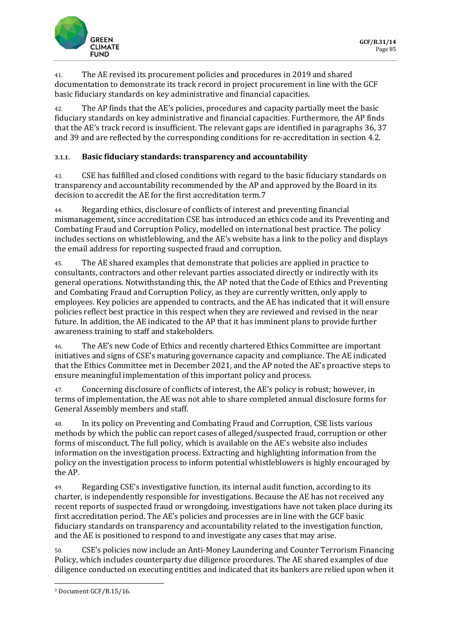

41. The AE revised its procurement policies and procedures in 2019 and shared documentation to demonstrate its track record in project procurement in line with the GCF basic fiduciary standards on key administrative and financial capacities.

42. The AP finds that the AE's policies, procedures and capacity partially meet the basic fiduciary standards on key administrative and financial capacities. Furthermore, the AP finds that the AE's track record is insufficient. The relevant gaps are identified in paragraphs 36, 37 and 39 and are reflected by the corresponding conditions for re-accreditation in section 4.2.

### **3.1.1. Basic fiduciary standards: transparency and accountability**

43. CSE has fulfilled and closed conditions with regard to the basic fiduciary standards on transparency and accountability recommended by the AP and approved by the Board in its decision to accredit the AE for the first accreditation term.7

44. Regarding ethics, disclosure of conflicts of interest and preventing financial mismanagement, since accreditation CSE has introduced an ethics code and its Preventing and Combating Fraud and Corruption Policy, modelled on international best practice. The policy includes sections on whistleblowing, and the AE's website has a link to the policy and displays the email address for reporting suspected fraud and corruption.

45. The AE shared examples that demonstrate that policies are applied in practice to consultants, contractors and other relevant parties associated directly or indirectly with its general operations. Notwithstanding this, the AP noted that the Code of Ethics and Preventing and Combating Fraud and Corruption Policy, as they are currently written, only apply to employees. Key policies are appended to contracts, and the AE has indicated that it will ensure policies reflect best practice in this respect when they are reviewed and revised in the near future. In addition, the AE indicated to the AP that it has imminent plans to provide further awareness training to staff and stakeholders.

46. The AE's new Code of Ethics and recently chartered Ethics Committee are important initiatives and signs of CSE's maturing governance capacity and compliance. The AE indicated that the Ethics Committee met in December 2021, and the AP noted the AE's proactive steps to ensure meaningful implementation of this important policy and process.

47. Concerning disclosure of conflicts of interest, the AE's policy is robust; however, in terms of implementation, the AE was not able to share completed annual disclosure forms for General Assembly members and staff.

48. In its policy on Preventing and Combating Fraud and Corruption, CSE lists various methods by which the public can report cases of alleged/suspected fraud, corruption or other forms of misconduct. The full policy, which is available on the AE's website also includes information on the investigation process. Extracting and highlighting information from the policy on the investigation process to inform potential whistleblowers is highly encouraged by the AP.

49. Regarding CSE's investigative function, its internal audit function, according to its charter, is independently responsible for investigations. Because the AE has not received any recent reports of suspected fraud or wrongdoing, investigations have not taken place during its first accreditation period. The AE's policies and processes are in line with the GCF basic fiduciary standards on transparency and accountability related to the investigation function, and the AE is positioned to respond to and investigate any cases that may arise.

50. CSE's policies now include an Anti-Money Laundering and Counter Terrorism Financing Policy, which includes counterparty due diligence procedures. The AE shared examples of due diligence conducted on executing entities and indicated that its bankers are relied upon when it

<sup>7</sup> Document GCF/B.15/16.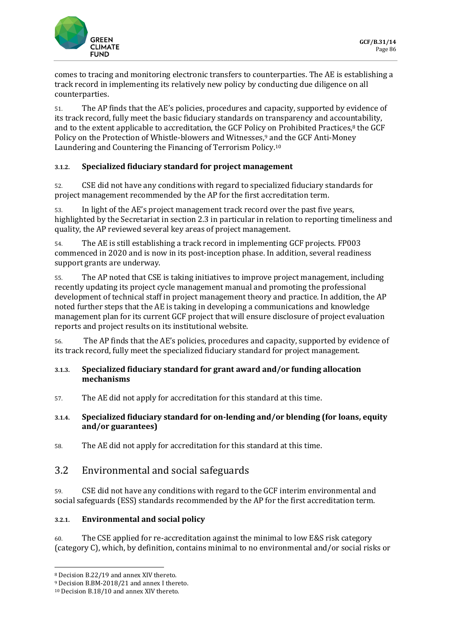

comes to tracing and monitoring electronic transfers to counterparties. The AE is establishing a track record in implementing its relatively new policy by conducting due diligence on all counterparties.

51. The AP finds that the AE's policies, procedures and capacity, supported by evidence of its track record, fully meet the basic fiduciary standards on transparency and accountability, and to the extent applicable to accreditation, the GCF Policy on Prohibited Practices,<sup>8</sup> the GCF Policy on the Protection of Whistle-blowers and Witnesses,<sup>9</sup> and the GCF Anti-Money Laundering and Countering the Financing of Terrorism Policy.<sup>10</sup>

### **3.1.2. Specialized fiduciary standard for project management**

52. CSE did not have any conditions with regard to specialized fiduciary standards for project management recommended by the AP for the first accreditation term.

53. In light of the AE's project management track record over the past five years, highlighted by the Secretariat in section 2.3 in particular in relation to reporting timeliness and quality, the AP reviewed several key areas of project management.

54. The AE is still establishing a track record in implementing GCF projects. FP003 commenced in 2020 and is now in its post-inception phase. In addition, several readiness support grants are underway.

55. The AP noted that CSE is taking initiatives to improve project management, including recently updating its project cycle management manual and promoting the professional development of technical staff in project management theory and practice. In addition, the AP noted further steps that the AE is taking in developing a communications and knowledge management plan for its current GCF project that will ensure disclosure of project evaluation reports and project results on its institutional website.

56. The AP finds that the AE's policies, procedures and capacity, supported by evidence of its track record, fully meet the specialized fiduciary standard for project management.

### **3.1.3. Specialized fiduciary standard for grant award and/or funding allocation mechanisms**

57. The AE did not apply for accreditation for this standard at this time.

### **3.1.4. Specialized fiduciary standard for on-lending and/or blending (for loans, equity and/or guarantees)**

58. The AE did not apply for accreditation for this standard at this time.

## 3.2 Environmental and social safeguards

59. CSE did not have any conditions with regard to the GCF interim environmental and social safeguards (ESS) standards recommended by the AP for the first accreditation term.

### **3.2.1. Environmental and social policy**

60. The CSE applied for re-accreditation against the minimal to low E&S risk category (category C), which, by definition, contains minimal to no environmental and/or social risks or

<sup>8</sup> Decision B.22/19 and annex XIV thereto.

<sup>9</sup> Decision B.BM-2018/21 and annex I thereto.

<sup>10</sup> Decision B.18/10 and annex XIV thereto.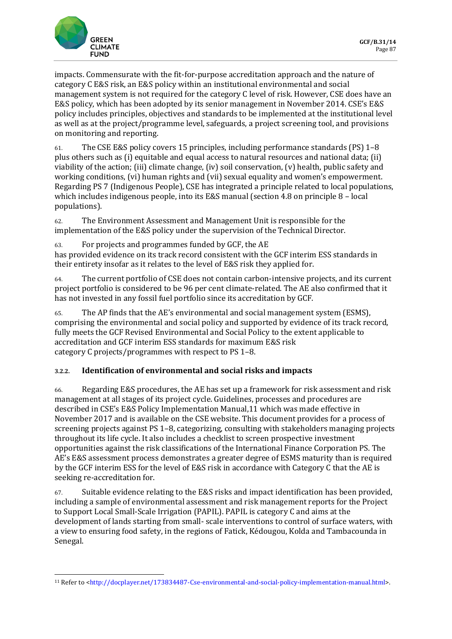

impacts. Commensurate with the fit-for-purpose accreditation approach and the nature of category C E&S risk, an E&S policy within an institutional environmental and social management system is not required for the category C level of risk. However, CSE does have an E&S policy, which has been adopted by its senior management in November 2014. CSE's E&S policy includes principles, objectives and standards to be implemented at the institutional level as well as at the project/programme level, safeguards, a project screening tool, and provisions on monitoring and reporting.

61. The CSE E&S policy covers 15 principles, including performance standards (PS) 1–8 plus others such as (i) equitable and equal access to natural resources and national data; (ii) viability of the action; (iii) climate change, (iv) soil conservation, (v) health, public safety and working conditions, (vi) human rights and (vii) sexual equality and women's empowerment. Regarding PS 7 (Indigenous People), CSE has integrated a principle related to local populations, which includes indigenous people, into its E&S manual (section 4.8 on principle 8 – local populations).

62. The Environment Assessment and Management Unit is responsible for the implementation of the E&S policy under the supervision of the Technical Director.

63. For projects and programmes funded by GCF, the AE

has provided evidence on its track record consistent with the GCF interim ESS standards in their entirety insofar as it relates to the level of E&S risk they applied for.

64. The current portfolio of CSE does not contain carbon-intensive projects, and its current project portfolio is considered to be 96 per cent climate-related. The AE also confirmed that it has not invested in any fossil fuel portfolio since its accreditation by GCF.

65. The AP finds that the AE's environmental and social management system (ESMS), comprising the environmental and social policy and supported by evidence of its track record, fully meets the GCF Revised Environmental and Social Policy to the extent applicable to accreditation and GCF interim ESS standards for maximum E&S risk category C projects/programmes with respect to PS 1–8.

### **3.2.2. Identification of environmental and social risks and impacts**

66. Regarding E&S procedures, the AE has set up a framework for risk assessment and risk management at all stages of its project cycle. Guidelines, processes and procedures are described in CSE's E&S Policy Implementation Manual,11 which was made effective in November 2017 and is available on the CSE website. This document provides for a process of screening projects against PS 1–8, categorizing, consulting with stakeholders managing projects throughout its life cycle. It also includes a checklist to screen prospective investment opportunities against the risk classifications of the International Finance Corporation PS. The AE's E&S assessment process demonstrates a greater degree of ESMS maturity than is required by the GCF interim ESS for the level of E&S risk in accordance with Category C that the AE is seeking re-accreditation for.

67. Suitable evidence relating to the E&S risks and impact identification has been provided, including a sample of environmental assessment and risk management reports for the Project to Support Local Small-Scale Irrigation (PAPIL). PAPIL is category C and aims at the development of lands starting from small- scale interventions to control of surface waters, with a view to ensuring food safety, in the regions of Fatick, Kédougou, Kolda and Tambacounda in Senegal.

<sup>&</sup>lt;sup>11</sup> Refer to [<http://docplayer.net/173834487-Cse-environmental-and-social-policy-implementation-manual.html>](http://docplayer.net/173834487-Cse-environmental-and-social-policy-implementation-manual.html).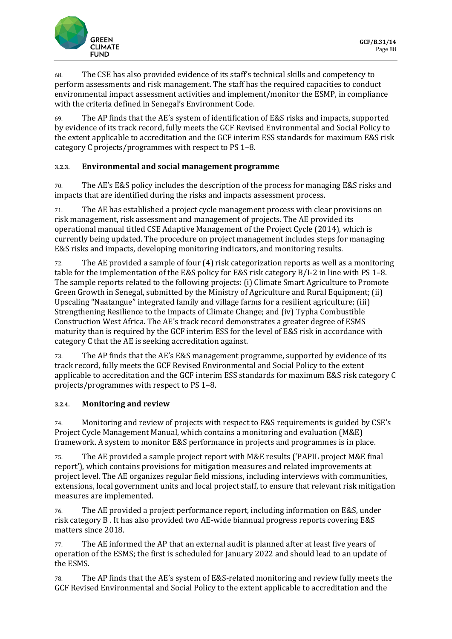

68. The CSE has also provided evidence of its staff's technical skills and competency to perform assessments and risk management. The staff has the required capacities to conduct environmental impact assessment activities and implement/monitor the ESMP, in compliance with the criteria defined in Senegal's Environment Code.

69. The AP finds that the AE's system of identification of E&S risks and impacts, supported by evidence of its track record, fully meets the GCF Revised Environmental and Social Policy to the extent applicable to accreditation and the GCF interim ESS standards for maximum E&S risk category C projects/programmes with respect to PS 1–8.

### **3.2.3. Environmental and social management programme**

70. The AE's E&S policy includes the description of the process for managing E&S risks and impacts that are identified during the risks and impacts assessment process.

71. The AE has established a project cycle management process with clear provisions on risk management, risk assessment and management of projects. The AE provided its operational manual titled CSE Adaptive Management of the Project Cycle (2014), which is currently being updated. The procedure on project management includes steps for managing E&S risks and impacts, developing monitoring indicators, and monitoring results.

72. The AE provided a sample of four (4) risk categorization reports as well as a monitoring table for the implementation of the E&S policy for E&S risk category B/I-2 in line with PS 1–8. The sample reports related to the following projects: (i) Climate Smart Agriculture to Promote Green Growth in Senegal, submitted by the Ministry of Agriculture and Rural Equipment; (ii) Upscaling "Naatangue" integrated family and village farms for a resilient agriculture; (iii) Strengthening Resilience to the Impacts of Climate Change; and (iv) Typha Combustible Construction West Africa. The AE's track record demonstrates a greater degree of ESMS maturity than is required by the GCF interim ESS for the level of E&S risk in accordance with category C that the AE is seeking accreditation against.

73. The AP finds that the AE's E&S management programme, supported by evidence of its track record, fully meets the GCF Revised Environmental and Social Policy to the extent applicable to accreditation and the GCF interim ESS standards for maximum E&S risk category C projects/programmes with respect to PS 1–8.

### **3.2.4. Monitoring and review**

74. Monitoring and review of projects with respect to E&S requirements is guided by CSE's Project Cycle Management Manual, which contains a monitoring and evaluation (M&E) framework. A system to monitor E&S performance in projects and programmes is in place.

75. The AE provided a sample project report with M&E results ('PAPIL project M&E final report'), which contains provisions for mitigation measures and related improvements at project level. The AE organizes regular field missions, including interviews with communities, extensions, local government units and local project staff, to ensure that relevant risk mitigation measures are implemented.

76. The AE provided a project performance report, including information on E&S, under risk category B . It has also provided two AE-wide biannual progress reports covering E&S matters since 2018.

77. The AE informed the AP that an external audit is planned after at least five years of operation of the ESMS; the first is scheduled for January 2022 and should lead to an update of the ESMS.

78. The AP finds that the AE's system of E&S-related monitoring and review fully meets the GCF Revised Environmental and Social Policy to the extent applicable to accreditation and the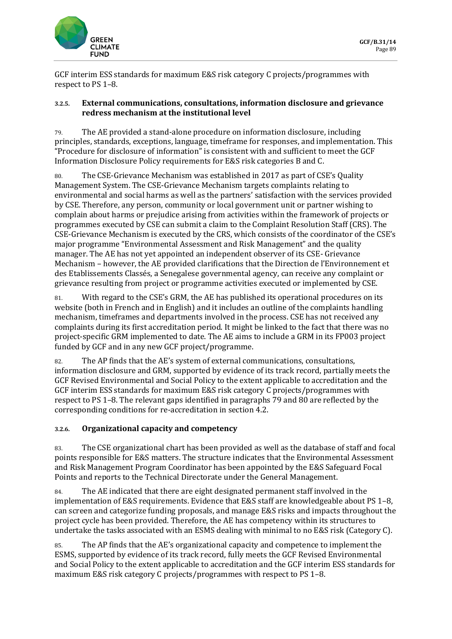

GCF interim ESS standards for maximum E&S risk category C projects/programmes with respect to PS 1–8.

#### **3.2.5. External communications, consultations, information disclosure and grievance redress mechanism at the institutional level**

79. The AE provided a stand-alone procedure on information disclosure, including principles, standards, exceptions, language, timeframe for responses, and implementation. This "Procedure for disclosure of information" is consistent with and sufficient to meet the GCF Information Disclosure Policy requirements for E&S risk categories B and C.

80. The CSE-Grievance Mechanism was established in 2017 as part of CSE's Quality Management System. The CSE-Grievance Mechanism targets complaints relating to environmental and social harms as well as the partners' satisfaction with the services provided by CSE. Therefore, any person, community or local government unit or partner wishing to complain about harms or prejudice arising from activities within the framework of projects or programmes executed by CSE can submit a claim to the Complaint Resolution Staff (CRS). The CSE-Grievance Mechanism is executed by the CRS, which consists of the coordinator of the CSE's major programme "Environmental Assessment and Risk Management" and the quality manager. The AE has not yet appointed an independent observer of its CSE- Grievance Mechanism – however, the AE provided clarifications that the Direction de l'Environnement et des Etablissements Classés, a Senegalese governmental agency, can receive any complaint or grievance resulting from project or programme activities executed or implemented by CSE.

81. With regard to the CSE's GRM, the AE has published its operational procedures on its website (both in French and in English) and it includes an outline of the complaints handling mechanism, timeframes and departments involved in the process. CSE has not received any complaints during its first accreditation period. It might be linked to the fact that there was no project-specific GRM implemented to date. The AE aims to include a GRM in its FP003 project funded by GCF and in any new GCF project/programme.

82. The AP finds that the AE's system of external communications, consultations, information disclosure and GRM, supported by evidence of its track record, partially meets the GCF Revised Environmental and Social Policy to the extent applicable to accreditation and the GCF interim ESS standards for maximum E&S risk category C projects/programmes with respect to PS 1–8. The relevant gaps identified in paragraphs 79 and 80 are reflected by the corresponding conditions for re-accreditation in section 4.2.

### **3.2.6. Organizational capacity and competency**

83. The CSE organizational chart has been provided as well as the database of staff and focal points responsible for E&S matters. The structure indicates that the Environmental Assessment and Risk Management Program Coordinator has been appointed by the E&S Safeguard Focal Points and reports to the Technical Directorate under the General Management.

84. The AE indicated that there are eight designated permanent staff involved in the implementation of E&S requirements. Evidence that E&S staff are knowledgeable about PS 1–8, can screen and categorize funding proposals, and manage E&S risks and impacts throughout the project cycle has been provided. Therefore, the AE has competency within its structures to undertake the tasks associated with an ESMS dealing with minimal to no E&S risk (Category C).

85. The AP finds that the AE's organizational capacity and competence to implement the ESMS, supported by evidence of its track record, fully meets the GCF Revised Environmental and Social Policy to the extent applicable to accreditation and the GCF interim ESS standards for maximum E&S risk category C projects/programmes with respect to PS 1–8.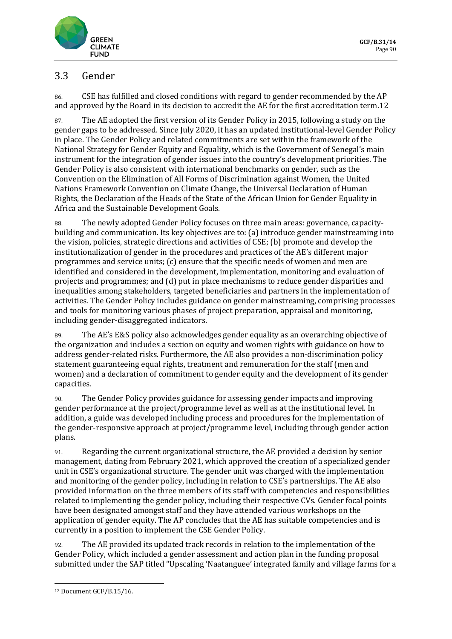

# 3.3 Gender

86. CSE has fulfilled and closed conditions with regard to gender recommended by the AP and approved by the Board in its decision to accredit the AE for the first accreditation term.12

87. The AE adopted the first version of its Gender Policy in 2015, following a study on the gender gaps to be addressed. Since July 2020, it has an updated institutional-level Gender Policy in place. The Gender Policy and related commitments are set within the framework of the National Strategy for Gender Equity and Equality, which is the Government of Senegal's main instrument for the integration of gender issues into the country's development priorities. The Gender Policy is also consistent with international benchmarks on gender, such as the Convention on the Elimination of All Forms of Discrimination against Women, the United Nations Framework Convention on Climate Change, the Universal Declaration of Human Rights, the Declaration of the Heads of the State of the African Union for Gender Equality in Africa and the Sustainable Development Goals.

88. The newly adopted Gender Policy focuses on three main areas: governance, capacitybuilding and communication. Its key objectives are to: (a) introduce gender mainstreaming into the vision, policies, strategic directions and activities of CSE; (b) promote and develop the institutionalization of gender in the procedures and practices of the AE's different major programmes and service units; (c) ensure that the specific needs of women and men are identified and considered in the development, implementation, monitoring and evaluation of projects and programmes; and (d) put in place mechanisms to reduce gender disparities and inequalities among stakeholders, targeted beneficiaries and partners in the implementation of activities. The Gender Policy includes guidance on gender mainstreaming, comprising processes and tools for monitoring various phases of project preparation, appraisal and monitoring, including gender-disaggregated indicators.

89. The AE's E&S policy also acknowledges gender equality as an overarching objective of the organization and includes a section on equity and women rights with guidance on how to address gender-related risks. Furthermore, the AE also provides a non-discrimination policy statement guaranteeing equal rights, treatment and remuneration for the staff (men and women) and a declaration of commitment to gender equity and the development of its gender capacities.

90. The Gender Policy provides guidance for assessing gender impacts and improving gender performance at the project/programme level as well as at the institutional level. In addition, a guide was developed including process and procedures for the implementation of the gender-responsive approach at project/programme level, including through gender action plans.

91. Regarding the current organizational structure, the AE provided a decision by senior management, dating from February 2021, which approved the creation of a specialized gender unit in CSE's organizational structure. The gender unit was charged with the implementation and monitoring of the gender policy, including in relation to CSE's partnerships. The AE also provided information on the three members of its staff with competencies and responsibilities related to implementing the gender policy, including their respective CVs. Gender focal points have been designated amongst staff and they have attended various workshops on the application of gender equity. The AP concludes that the AE has suitable competencies and is currently in a position to implement the CSE Gender Policy.

92. The AE provided its updated track records in relation to the implementation of the Gender Policy, which included a gender assessment and action plan in the funding proposal submitted under the SAP titled "Upscaling 'Naatanguee' integrated family and village farms for a

<sup>12</sup> Document GCF/B.15/16.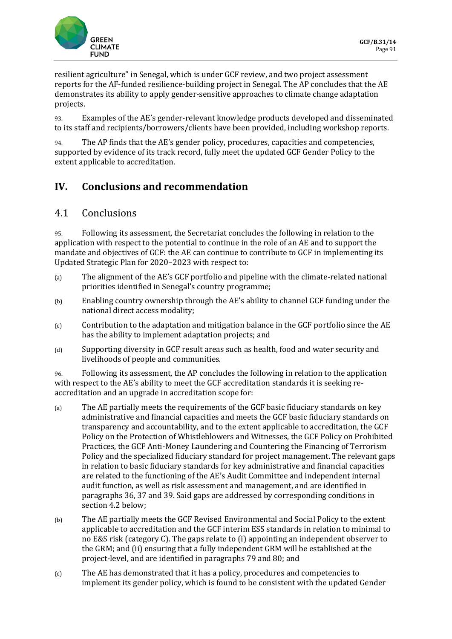

resilient agriculture" in Senegal, which is under GCF review, and two project assessment reports for the AF-funded resilience-building project in Senegal. The AP concludes that the AE demonstrates its ability to apply gender-sensitive approaches to climate change adaptation projects.

93. Examples of the AE's gender-relevant knowledge products developed and disseminated to its staff and recipients/borrowers/clients have been provided, including workshop reports.

94. The AP finds that the AE's gender policy, procedures, capacities and competencies, supported by evidence of its track record, fully meet the updated GCF Gender Policy to the extent applicable to accreditation.

# **IV. Conclusions and recommendation**

## 4.1 Conclusions

95. Following its assessment, the Secretariat concludes the following in relation to the application with respect to the potential to continue in the role of an AE and to support the mandate and objectives of GCF: the AE can continue to contribute to GCF in implementing its Updated Strategic Plan for 2020–2023 with respect to:

- (a) The alignment of the AE's GCF portfolio and pipeline with the climate-related national priorities identified in Senegal's country programme;
- (b) Enabling country ownership through the AE's ability to channel GCF funding under the national direct access modality;
- (c) Contribution to the adaptation and mitigation balance in the GCF portfolio since the AE has the ability to implement adaptation projects; and
- (d) Supporting diversity in GCF result areas such as health, food and water security and livelihoods of people and communities.

96. Following its assessment, the AP concludes the following in relation to the application with respect to the AE's ability to meet the GCF accreditation standards it is seeking reaccreditation and an upgrade in accreditation scope for:

- (a) The AE partially meets the requirements of the GCF basic fiduciary standards on key administrative and financial capacities and meets the GCF basic fiduciary standards on transparency and accountability, and to the extent applicable to accreditation, the GCF Policy on the Protection of Whistleblowers and Witnesses, the GCF Policy on Prohibited Practices, the GCF Anti-Money Laundering and Countering the Financing of Terrorism Policy and the specialized fiduciary standard for project management. The relevant gaps in relation to basic fiduciary standards for key administrative and financial capacities are related to the functioning of the AE's Audit Committee and independent internal audit function, as well as risk assessment and management, and are identified in paragraphs 36, 37 and 39. Said gaps are addressed by corresponding conditions in section 4.2 below;
- (b) The AE partially meets the GCF Revised Environmental and Social Policy to the extent applicable to accreditation and the GCF interim ESS standards in relation to minimal to no E&S risk (category C). The gaps relate to (i) appointing an independent observer to the GRM; and (ii) ensuring that a fully independent GRM will be established at the project-level, and are identified in paragraphs 79 and 80; and
- (c) The AE has demonstrated that it has a policy, procedures and competencies to implement its gender policy, which is found to be consistent with the updated Gender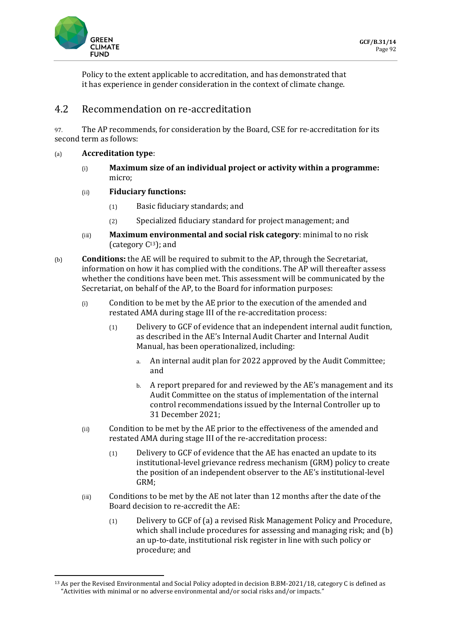

Policy to the extent applicable to accreditation, and has demonstrated that it has experience in gender consideration in the context of climate change.

### 4.2 Recommendation on re-accreditation

97. The AP recommends, for consideration by the Board, CSE for re-accreditation for its second term as follows:

#### (a) **Accreditation type**:

(i) **Maximum size of an individual project or activity within a programme:** micro;

### (ii) **Fiduciary functions:**

- (1) Basic fiduciary standards; and
- (2) Specialized fiduciary standard for project management; and
- (iii) **Maximum environmental and social risk category**: minimal to no risk (category  $C^{13}$ ); and
- (b) **Conditions:** the AE will be required to submit to the AP, through the Secretariat, information on how it has complied with the conditions. The AP will thereafter assess whether the conditions have been met. This assessment will be communicated by the Secretariat, on behalf of the AP, to the Board for information purposes:
	- (i) Condition to be met by the AE prior to the execution of the amended and restated AMA during stage III of the re-accreditation process:
		- (1) Delivery to GCF of evidence that an independent internal audit function, as described in the AE's Internal Audit Charter and Internal Audit Manual, has been operationalized, including:
			- a. An internal audit plan for 2022 approved by the Audit Committee; and
			- b. A report prepared for and reviewed by the AE's management and its Audit Committee on the status of implementation of the internal control recommendations issued by the Internal Controller up to 31 December 2021;
	- (ii) Condition to be met by the AE prior to the effectiveness of the amended and restated AMA during stage III of the re-accreditation process:
		- (1) Delivery to GCF of evidence that the AE has enacted an update to its institutional-level grievance redress mechanism (GRM) policy to create the position of an independent observer to the AE's institutional-level GRM;
	- (iii) Conditions to be met by the AE not later than 12 months after the date of the Board decision to re-accredit the AE:
		- (1) Delivery to GCF of (a) a revised Risk Management Policy and Procedure, which shall include procedures for assessing and managing risk; and (b) an up-to-date, institutional risk register in line with such policy or procedure; and

<sup>13</sup> As per the Revised Environmental and Social Policy adopted in decision B.BM-2021/18, category C is defined as "Activities with minimal or no adverse environmental and/or social risks and/or impacts."